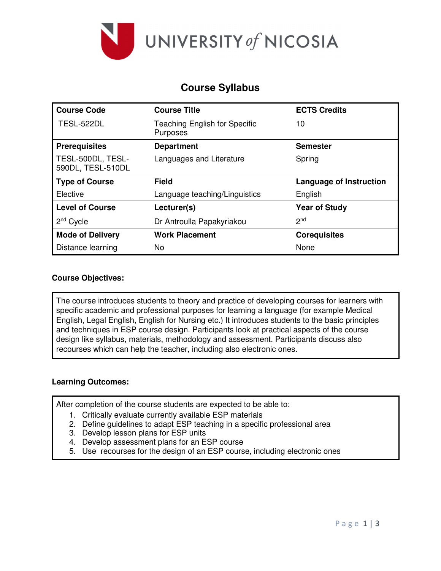

# **Course Syllabus**

| <b>Course Code</b>                     | <b>Course Title</b>                              | <b>ECTS Credits</b>            |
|----------------------------------------|--------------------------------------------------|--------------------------------|
| TESL-522DL                             | <b>Teaching English for Specific</b><br>Purposes | 10                             |
| <b>Prerequisites</b>                   | <b>Department</b>                                | <b>Semester</b>                |
| TESL-500DL, TESL-<br>590DL, TESL-510DL | Languages and Literature                         | Spring                         |
| <b>Type of Course</b>                  | <b>Field</b>                                     | <b>Language of Instruction</b> |
| Elective                               | Language teaching/Linguistics                    | English                        |
| <b>Level of Course</b>                 | Lecturer(s)                                      | <b>Year of Study</b>           |
| $2nd$ Cycle                            | Dr Antroulla Papakyriakou                        | 2 <sub>nd</sub>                |
| <b>Mode of Delivery</b>                | <b>Work Placement</b>                            | <b>Corequisites</b>            |
| Distance learning                      | No                                               | None                           |

### **Course Objectives:**

The course introduces students to theory and practice of developing courses for learners with specific academic and professional purposes for learning a language (for example Medical English, Legal English, English for Nursing etc.) It introduces students to the basic principles and techniques in ESP course design. Participants look at practical aspects of the course design like syllabus, materials, methodology and assessment. Participants discuss also recourses which can help the teacher, including also electronic ones.

### **Learning Outcomes:**

After completion of the course students are expected to be able to:

- 1. Critically evaluate currently available ESP materials
- 2. Define guidelines to adapt ESP teaching in a specific professional area
- 3. Develop lesson plans for ESP units
- 4. Develop assessment plans for an ESP course
- 5. Use recourses for the design of an ESP course, including electronic ones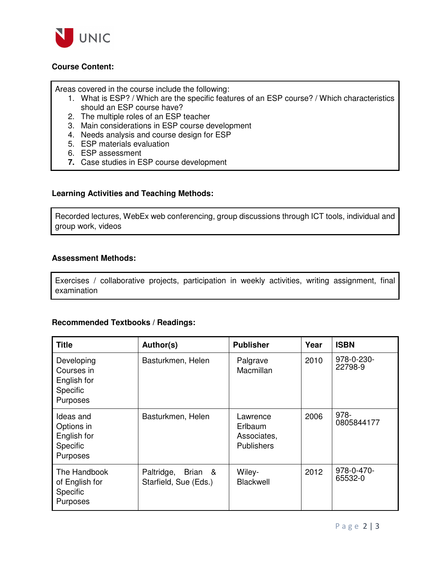

## **Course Content:**

Areas covered in the course include the following:

- 1. What is ESP? / Which are the specific features of an ESP course? / Which characteristics should an ESP course have?
- 2. The multiple roles of an ESP teacher
- 3. Main considerations in ESP course development
- 4. Needs analysis and course design for ESP
- 5. ESP materials evaluation
- 6. ESP assessment
- **7.** Case studies in ESP course development

### **Learning Activities and Teaching Methods:**

Recorded lectures, WebEx web conferencing, group discussions through ICT tools, individual and group work, videos

### **Assessment Methods:**

Exercises / collaborative projects, participation in weekly activities, writing assignment, final examination

### **Recommended Textbooks / Readings:**

| <b>Title</b>                                                          | Author(s)                                      | <b>Publisher</b>                                        | Year | <b>ISBN</b>           |
|-----------------------------------------------------------------------|------------------------------------------------|---------------------------------------------------------|------|-----------------------|
| Developing<br>Courses in<br>English for<br>Specific<br>Purposes       | Basturkmen, Helen                              | Palgrave<br>Macmillan                                   | 2010 | 978-0-230-<br>22798-9 |
| Ideas and<br>Options in<br>English for<br><b>Specific</b><br>Purposes | Basturkmen, Helen                              | Lawrence<br>Erlbaum<br>Associates,<br><b>Publishers</b> | 2006 | 978-<br>0805844177    |
| The Handbook<br>of English for<br><b>Specific</b><br>Purposes         | Paltridge,<br>Brian &<br>Starfield, Sue (Eds.) | Wiley-<br>Blackwell                                     | 2012 | 978-0-470-<br>65532-0 |